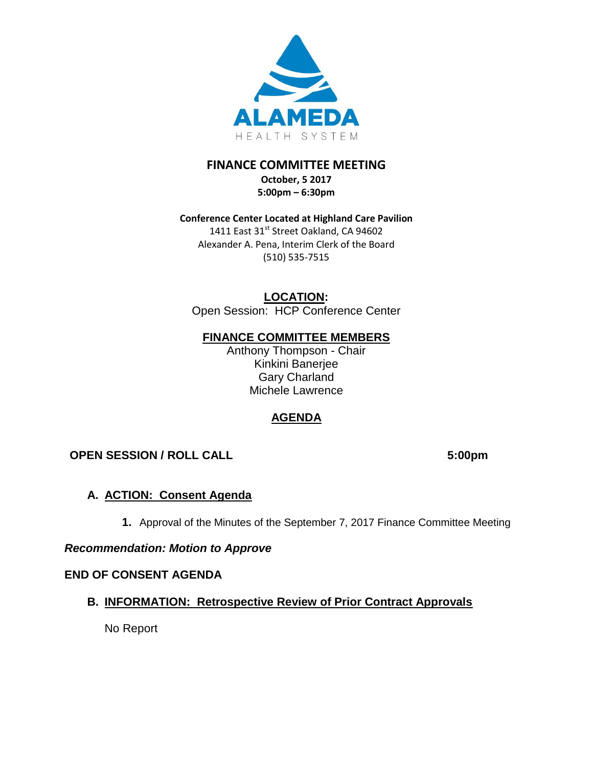

# **FINANCE COMMITTEE MEETING October, 5 2017**

**5:00pm – 6:30pm** 

### **Conference Center Located at Highland Care Pavilion** 1411 East 31<sup>st</sup> Street Oakland, CA 94602 Alexander A. Pena, Interim Clerk of the Board (510) 535-7515

**LOCATION:** Open Session: HCP Conference Center

## **FINANCE COMMITTEE MEMBERS**

Anthony Thompson - Chair Kinkini Banerjee Gary Charland Michele Lawrence

# **AGENDA**

# **OPEN SESSION / ROLL CALL 5:00pm**

## **A. ACTION: Consent Agenda**

**1.** Approval of the Minutes of the September 7, 2017 Finance Committee Meeting

## *Recommendation: Motion to Approve*

## **END OF CONSENT AGENDA**

## **B. INFORMATION: Retrospective Review of Prior Contract Approvals**

No Report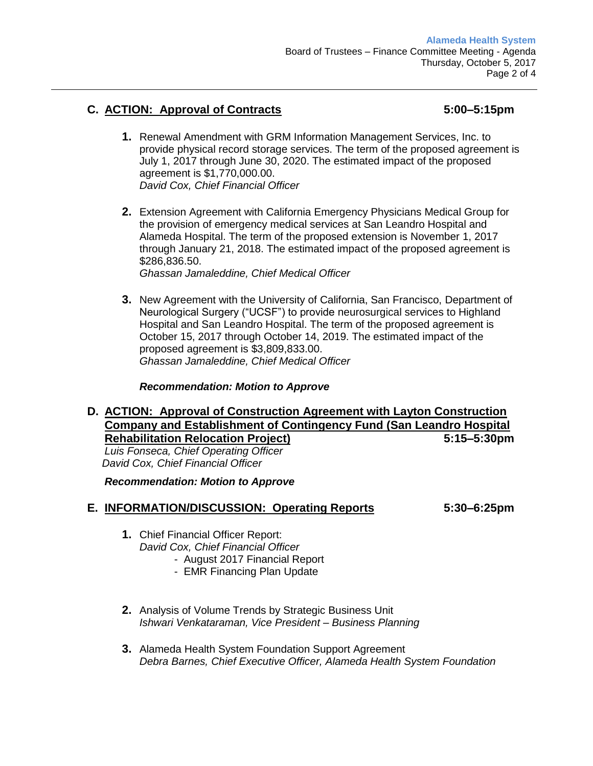## **C. ACTION: Approval of Contracts 5:00–5:15pm**

- **1.** Renewal Amendment with GRM Information Management Services, Inc. to provide physical record storage services. The term of the proposed agreement is July 1, 2017 through June 30, 2020. The estimated impact of the proposed agreement is \$1,770,000.00. *David Cox, Chief Financial Officer*
- **2.** Extension Agreement with California Emergency Physicians Medical Group for the provision of emergency medical services at San Leandro Hospital and Alameda Hospital. The term of the proposed extension is November 1, 2017 through January 21, 2018. The estimated impact of the proposed agreement is \$286,836.50.

*Ghassan Jamaleddine, Chief Medical Officer*

**3.** New Agreement with the University of California, San Francisco, Department of Neurological Surgery ("UCSF") to provide neurosurgical services to Highland Hospital and San Leandro Hospital. The term of the proposed agreement is October 15, 2017 through October 14, 2019. The estimated impact of the proposed agreement is \$3,809,833.00. *Ghassan Jamaleddine, Chief Medical Officer*

### *Recommendation: Motion to Approve*

**D. ACTION: Approval of Construction Agreement with Layton Construction Company and Establishment of Contingency Fund (San Leandro Hospital Rehabilitation Relocation Project) 5:15–5:30pm**

*Luis Fonseca, Chief Operating Officer David Cox, Chief Financial Officer*

*Recommendation: Motion to Approve*

### **E. INFORMATION/DISCUSSION: Operating Reports 5:30–6:25pm**

- **1.** Chief Financial Officer Report: *David Cox, Chief Financial Officer*
	- August 2017 Financial Report
	- EMR Financing Plan Update
- **2.** Analysis of Volume Trends by Strategic Business Unit *Ishwari Venkataraman, Vice President – Business Planning*
- **3.** Alameda Health System Foundation Support Agreement *Debra Barnes, Chief Executive Officer, Alameda Health System Foundation*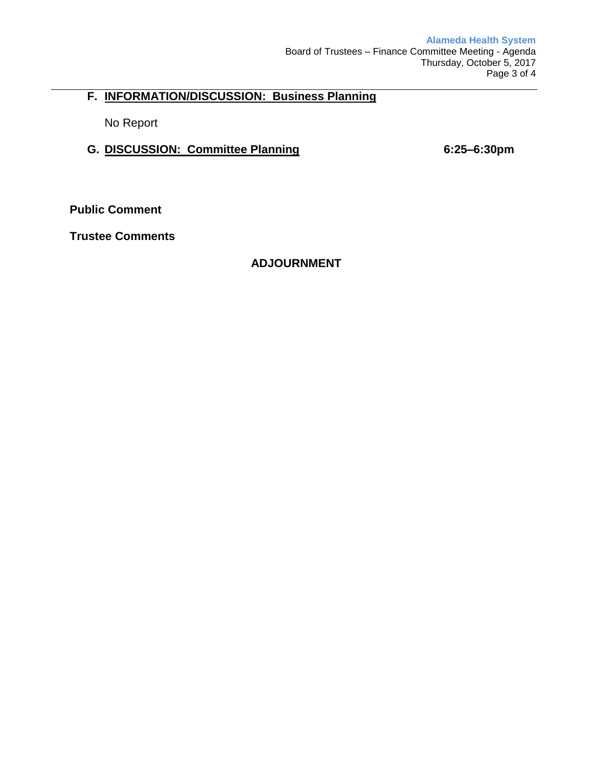## **F. INFORMATION/DISCUSSION: Business Planning**

No Report

## **G. DISCUSSION: Committee Planning 6:25–6:30pm**

**Public Comment**

**Trustee Comments**

## **ADJOURNMENT**